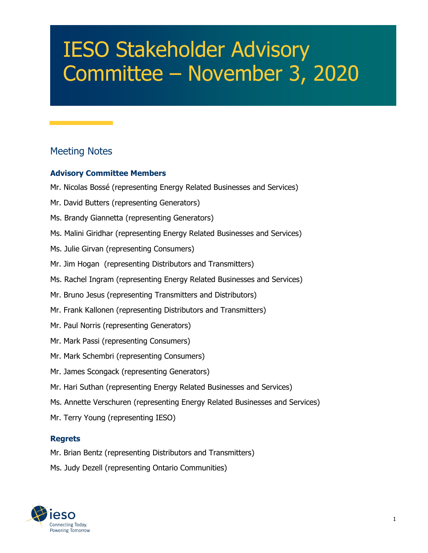# IESO Stakeholder Advisory Committee – November 3, 2020

# Meeting Notes

#### **Advisory Committee Members**

- Mr. Nicolas Bossé (representing Energy Related Businesses and Services)
- Mr. David Butters (representing Generators)
- Ms. Brandy Giannetta (representing Generators)
- Ms. Malini Giridhar (representing Energy Related Businesses and Services)
- Ms. Julie Girvan (representing Consumers)
- Mr. Jim Hogan (representing Distributors and Transmitters)
- Ms. Rachel Ingram (representing Energy Related Businesses and Services)
- Mr. Bruno Jesus (representing Transmitters and Distributors)
- Mr. Frank Kallonen (representing Distributors and Transmitters)
- Mr. Paul Norris (representing Generators)
- Mr. Mark Passi (representing Consumers)
- Mr. Mark Schembri (representing Consumers)
- Mr. James Scongack (representing Generators)
- Mr. Hari Suthan (representing Energy Related Businesses and Services)
- Ms. Annette Verschuren (representing Energy Related Businesses and Services)
- Mr. Terry Young (representing IESO)

#### **Regrets**

Mr. Brian Bentz (representing Distributors and Transmitters)

Ms. Judy Dezell (representing Ontario Communities)

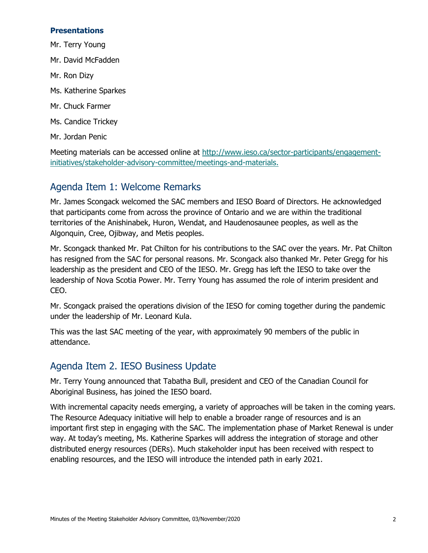#### **Presentations**

- Mr. Terry Young
- Mr. David McFadden
- Mr. Ron Dizy
- Ms. Katherine Sparkes
- Mr. Chuck Farmer
- Ms. Candice Trickey
- Mr. Jordan Penic

Meeting materials can be accessed online at [http://www.ieso.ca/sector-participants/engagement](http://www.ieso.ca/sector-participants/engagement-initiatives/stakeholder-advisory-committee/meetings-and-materials)[initiatives/stakeholder-advisory-committee/meetings-and-materials.](http://www.ieso.ca/sector-participants/engagement-initiatives/stakeholder-advisory-committee/meetings-and-materials)

## Agenda Item 1: Welcome Remarks

Mr. James Scongack welcomed the SAC members and IESO Board of Directors. He acknowledged that participants come from across the province of Ontario and we are within the traditional territories of the Anishinabek, Huron, Wendat, and Haudenosaunee peoples, as well as the Algonquin, Cree, Ojibway, and Metis peoples.

Mr. Scongack thanked Mr. Pat Chilton for his contributions to the SAC over the years. Mr. Pat Chilton has resigned from the SAC for personal reasons. Mr. Scongack also thanked Mr. Peter Gregg for his leadership as the president and CEO of the IESO. Mr. Gregg has left the IESO to take over the leadership of Nova Scotia Power. Mr. Terry Young has assumed the role of interim president and CEO.

Mr. Scongack praised the operations division of the IESO for coming together during the pandemic under the leadership of Mr. Leonard Kula.

This was the last SAC meeting of the year, with approximately 90 members of the public in attendance.

# Agenda Item 2. IESO Business Update

Mr. Terry Young announced that Tabatha Bull, president and CEO of the Canadian Council for Aboriginal Business, has joined the IESO board.

With incremental capacity needs emerging, a variety of approaches will be taken in the coming years. The Resource Adequacy initiative will help to enable a broader range of resources and is an important first step in engaging with the SAC. The implementation phase of Market Renewal is under way. At today's meeting, Ms. Katherine Sparkes will address the integration of storage and other distributed energy resources (DERs). Much stakeholder input has been received with respect to enabling resources, and the IESO will introduce the intended path in early 2021.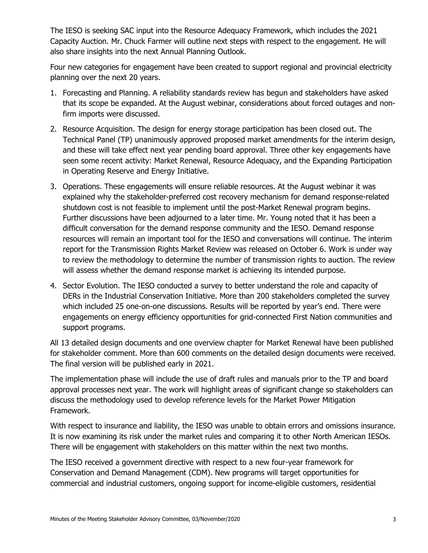The IESO is seeking SAC input into the Resource Adequacy Framework, which includes the 2021 Capacity Auction. Mr. Chuck Farmer will outline next steps with respect to the engagement. He will also share insights into the next Annual Planning Outlook.

Four new categories for engagement have been created to support regional and provincial electricity planning over the next 20 years.

- 1. Forecasting and Planning. A reliability standards review has begun and stakeholders have asked that its scope be expanded. At the August webinar, considerations about forced outages and nonfirm imports were discussed.
- 2. Resource Acquisition. The design for energy storage participation has been closed out. The Technical Panel (TP) unanimously approved proposed market amendments for the interim design, and these will take effect next year pending board approval. Three other key engagements have seen some recent activity: Market Renewal, Resource Adequacy, and the Expanding Participation in Operating Reserve and Energy Initiative.
- 3. Operations. These engagements will ensure reliable resources. At the August webinar it was explained why the stakeholder-preferred cost recovery mechanism for demand response-related shutdown cost is not feasible to implement until the post-Market Renewal program begins. Further discussions have been adjourned to a later time. Mr. Young noted that it has been a difficult conversation for the demand response community and the IESO. Demand response resources will remain an important tool for the IESO and conversations will continue. The interim report for the Transmission Rights Market Review was released on October 6. Work is under way to review the methodology to determine the number of transmission rights to auction. The review will assess whether the demand response market is achieving its intended purpose.
- 4. Sector Evolution. The IESO conducted a survey to better understand the role and capacity of DERs in the Industrial Conservation Initiative. More than 200 stakeholders completed the survey which included 25 one-on-one discussions. Results will be reported by year's end. There were engagements on energy efficiency opportunities for grid-connected First Nation communities and support programs.

All 13 detailed design documents and one overview chapter for Market Renewal have been published for stakeholder comment. More than 600 comments on the detailed design documents were received. The final version will be published early in 2021.

The implementation phase will include the use of draft rules and manuals prior to the TP and board approval processes next year. The work will highlight areas of significant change so stakeholders can discuss the methodology used to develop reference levels for the Market Power Mitigation Framework.

With respect to insurance and liability, the IESO was unable to obtain errors and omissions insurance. It is now examining its risk under the market rules and comparing it to other North American IESOs. There will be engagement with stakeholders on this matter within the next two months.

The IESO received a government directive with respect to a new four-year framework for Conservation and Demand Management (CDM). New programs will target opportunities for commercial and industrial customers, ongoing support for income-eligible customers, residential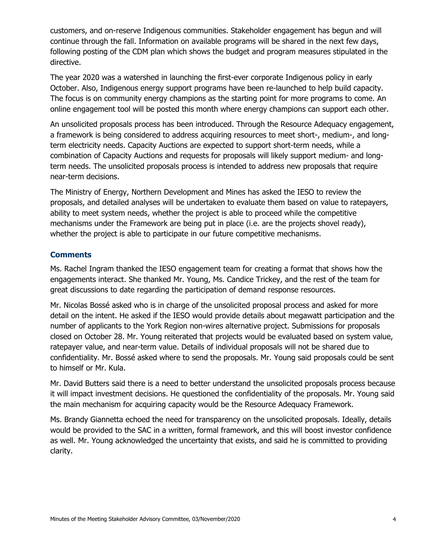customers, and on-reserve Indigenous communities. Stakeholder engagement has begun and will continue through the fall. Information on available programs will be shared in the next few days, following posting of the CDM plan which shows the budget and program measures stipulated in the directive.

The year 2020 was a watershed in launching the first-ever corporate Indigenous policy in early October. Also, Indigenous energy support programs have been re-launched to help build capacity. The focus is on community energy champions as the starting point for more programs to come. An online engagement tool will be posted this month where energy champions can support each other.

An unsolicited proposals process has been introduced. Through the Resource Adequacy engagement, a framework is being considered to address acquiring resources to meet short-, medium-, and longterm electricity needs. Capacity Auctions are expected to support short-term needs, while a combination of Capacity Auctions and requests for proposals will likely support medium- and longterm needs. The unsolicited proposals process is intended to address new proposals that require near-term decisions.

The Ministry of Energy, Northern Development and Mines has asked the IESO to review the proposals, and detailed analyses will be undertaken to evaluate them based on value to ratepayers, ability to meet system needs, whether the project is able to proceed while the competitive mechanisms under the Framework are being put in place (i.e. are the projects shovel ready), whether the project is able to participate in our future competitive mechanisms.

#### **Comments**

Ms. Rachel Ingram thanked the IESO engagement team for creating a format that shows how the engagements interact. She thanked Mr. Young, Ms. Candice Trickey, and the rest of the team for great discussions to date regarding the participation of demand response resources.

Mr. Nicolas Bossé asked who is in charge of the unsolicited proposal process and asked for more detail on the intent. He asked if the IESO would provide details about megawatt participation and the number of applicants to the York Region non-wires alternative project. Submissions for proposals closed on October 28. Mr. Young reiterated that projects would be evaluated based on system value, ratepayer value, and near-term value. Details of individual proposals will not be shared due to confidentiality. Mr. Bossé asked where to send the proposals. Mr. Young said proposals could be sent to himself or Mr. Kula.

Mr. David Butters said there is a need to better understand the unsolicited proposals process because it will impact investment decisions. He questioned the confidentiality of the proposals. Mr. Young said the main mechanism for acquiring capacity would be the Resource Adequacy Framework.

Ms. Brandy Giannetta echoed the need for transparency on the unsolicited proposals. Ideally, details would be provided to the SAC in a written, formal framework, and this will boost investor confidence as well. Mr. Young acknowledged the uncertainty that exists, and said he is committed to providing clarity.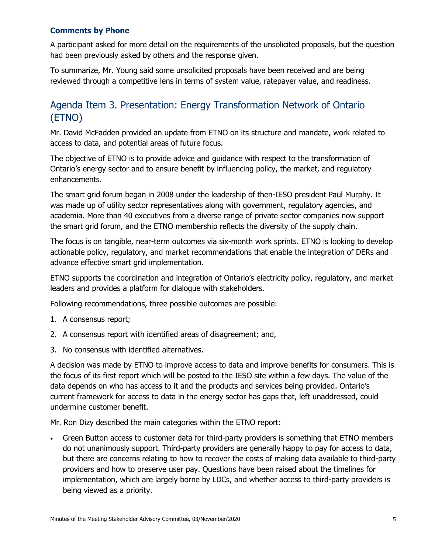#### **Comments by Phone**

A participant asked for more detail on the requirements of the unsolicited proposals, but the question had been previously asked by others and the response given.

To summarize, Mr. Young said some unsolicited proposals have been received and are being reviewed through a competitive lens in terms of system value, ratepayer value, and readiness.

# Agenda Item 3. Presentation: Energy Transformation Network of Ontario (ETNO)

Mr. David McFadden provided an update from ETNO on its structure and mandate, work related to access to data, and potential areas of future focus.

The objective of ETNO is to provide advice and guidance with respect to the transformation of Ontario's energy sector and to ensure benefit by influencing policy, the market, and regulatory enhancements.

The smart grid forum began in 2008 under the leadership of then-IESO president Paul Murphy. It was made up of utility sector representatives along with government, regulatory agencies, and academia. More than 40 executives from a diverse range of private sector companies now support the smart grid forum, and the ETNO membership reflects the diversity of the supply chain.

The focus is on tangible, near-term outcomes via six-month work sprints. ETNO is looking to develop actionable policy, regulatory, and market recommendations that enable the integration of DERs and advance effective smart grid implementation.

ETNO supports the coordination and integration of Ontario's electricity policy, regulatory, and market leaders and provides a platform for dialogue with stakeholders.

Following recommendations, three possible outcomes are possible:

- 1. A consensus report;
- 2. A consensus report with identified areas of disagreement; and,
- 3. No consensus with identified alternatives.

A decision was made by ETNO to improve access to data and improve benefits for consumers. This is the focus of its first report which will be posted to the IESO site within a few days. The value of the data depends on who has access to it and the products and services being provided. Ontario's current framework for access to data in the energy sector has gaps that, left unaddressed, could undermine customer benefit.

Mr. Ron Dizy described the main categories within the ETNO report:

• Green Button access to customer data for third-party providers is something that ETNO members do not unanimously support. Third-party providers are generally happy to pay for access to data, but there are concerns relating to how to recover the costs of making data available to third-party providers and how to preserve user pay. Questions have been raised about the timelines for implementation, which are largely borne by LDCs, and whether access to third-party providers is being viewed as a priority.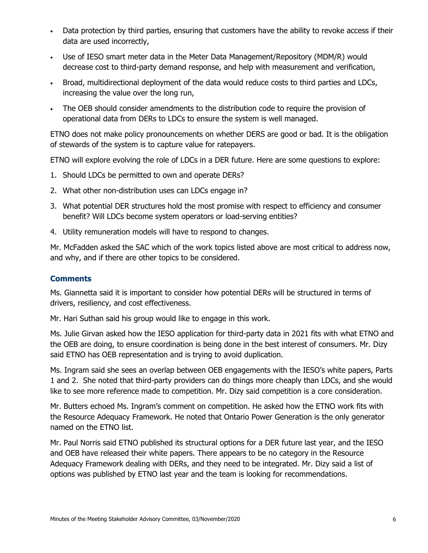- Data protection by third parties, ensuring that customers have the ability to revoke access if their data are used incorrectly,
- Use of IESO smart meter data in the Meter Data Management/Repository (MDM/R) would decrease cost to third-party demand response, and help with measurement and verification,
- Broad, multidirectional deployment of the data would reduce costs to third parties and LDCs, increasing the value over the long run,
- The OEB should consider amendments to the distribution code to require the provision of operational data from DERs to LDCs to ensure the system is well managed.

ETNO does not make policy pronouncements on whether DERS are good or bad. It is the obligation of stewards of the system is to capture value for ratepayers.

ETNO will explore evolving the role of LDCs in a DER future. Here are some questions to explore:

- 1. Should LDCs be permitted to own and operate DERs?
- 2. What other non-distribution uses can LDCs engage in?
- 3. What potential DER structures hold the most promise with respect to efficiency and consumer benefit? Will LDCs become system operators or load-serving entities?
- 4. Utility remuneration models will have to respond to changes.

Mr. McFadden asked the SAC which of the work topics listed above are most critical to address now, and why, and if there are other topics to be considered.

#### **Comments**

Ms. Giannetta said it is important to consider how potential DERs will be structured in terms of drivers, resiliency, and cost effectiveness.

Mr. Hari Suthan said his group would like to engage in this work.

Ms. Julie Girvan asked how the IESO application for third-party data in 2021 fits with what ETNO and the OEB are doing, to ensure coordination is being done in the best interest of consumers. Mr. Dizy said ETNO has OEB representation and is trying to avoid duplication.

Ms. Ingram said she sees an overlap between OEB engagements with the IESO's white papers, Parts 1 and 2. She noted that third-party providers can do things more cheaply than LDCs, and she would like to see more reference made to competition. Mr. Dizy said competition is a core consideration.

Mr. Butters echoed Ms. Ingram's comment on competition. He asked how the ETNO work fits with the Resource Adequacy Framework. He noted that Ontario Power Generation is the only generator named on the ETNO list.

Mr. Paul Norris said ETNO published its structural options for a DER future last year, and the IESO and OEB have released their white papers. There appears to be no category in the Resource Adequacy Framework dealing with DERs, and they need to be integrated. Mr. Dizy said a list of options was published by ETNO last year and the team is looking for recommendations.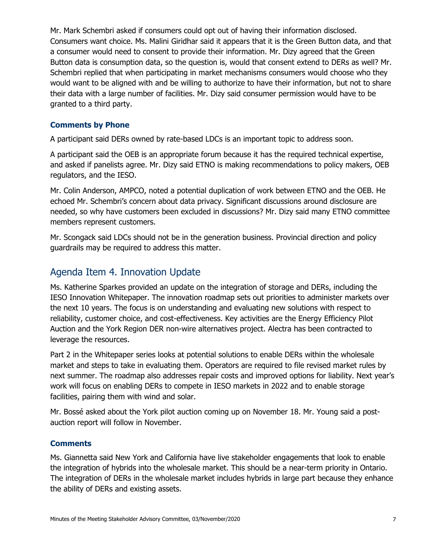Mr. Mark Schembri asked if consumers could opt out of having their information disclosed. Consumers want choice. Ms. Malini Giridhar said it appears that it is the Green Button data, and that a consumer would need to consent to provide their information. Mr. Dizy agreed that the Green Button data is consumption data, so the question is, would that consent extend to DERs as well? Mr. Schembri replied that when participating in market mechanisms consumers would choose who they would want to be aligned with and be willing to authorize to have their information, but not to share their data with a large number of facilities. Mr. Dizy said consumer permission would have to be granted to a third party.

#### **Comments by Phone**

A participant said DERs owned by rate-based LDCs is an important topic to address soon.

A participant said the OEB is an appropriate forum because it has the required technical expertise, and asked if panelists agree. Mr. Dizy said ETNO is making recommendations to policy makers, OEB regulators, and the IESO.

Mr. Colin Anderson, AMPCO, noted a potential duplication of work between ETNO and the OEB. He echoed Mr. Schembri's concern about data privacy. Significant discussions around disclosure are needed, so why have customers been excluded in discussions? Mr. Dizy said many ETNO committee members represent customers.

Mr. Scongack said LDCs should not be in the generation business. Provincial direction and policy guardrails may be required to address this matter.

# Agenda Item 4. Innovation Update

Ms. Katherine Sparkes provided an update on the integration of storage and DERs, including the IESO Innovation Whitepaper. The innovation roadmap sets out priorities to administer markets over the next 10 years. The focus is on understanding and evaluating new solutions with respect to reliability, customer choice, and cost-effectiveness. Key activities are the Energy Efficiency Pilot Auction and the York Region DER non-wire alternatives project. Alectra has been contracted to leverage the resources.

Part 2 in the Whitepaper series looks at potential solutions to enable DERs within the wholesale market and steps to take in evaluating them. Operators are required to file revised market rules by next summer. The roadmap also addresses repair costs and improved options for liability. Next year's work will focus on enabling DERs to compete in IESO markets in 2022 and to enable storage facilities, pairing them with wind and solar.

Mr. Bossé asked about the York pilot auction coming up on November 18. Mr. Young said a postauction report will follow in November.

#### **Comments**

Ms. Giannetta said New York and California have live stakeholder engagements that look to enable the integration of hybrids into the wholesale market. This should be a near-term priority in Ontario. The integration of DERs in the wholesale market includes hybrids in large part because they enhance the ability of DERs and existing assets.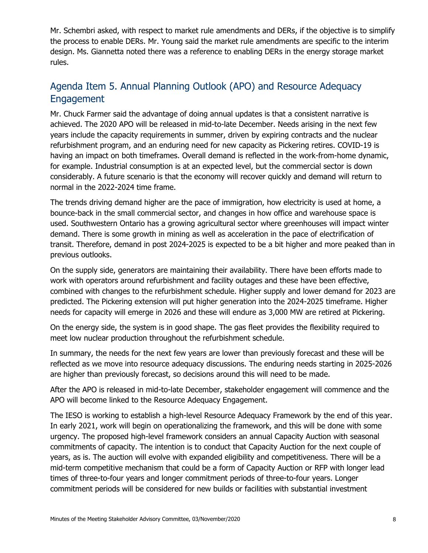Mr. Schembri asked, with respect to market rule amendments and DERs, if the objective is to simplify the process to enable DERs. Mr. Young said the market rule amendments are specific to the interim design. Ms. Giannetta noted there was a reference to enabling DERs in the energy storage market rules.

# Agenda Item 5. Annual Planning Outlook (APO) and Resource Adequacy Engagement

Mr. Chuck Farmer said the advantage of doing annual updates is that a consistent narrative is achieved. The 2020 APO will be released in mid-to-late December. Needs arising in the next few years include the capacity requirements in summer, driven by expiring contracts and the nuclear refurbishment program, and an enduring need for new capacity as Pickering retires. COVID-19 is having an impact on both timeframes. Overall demand is reflected in the work-from-home dynamic, for example. Industrial consumption is at an expected level, but the commercial sector is down considerably. A future scenario is that the economy will recover quickly and demand will return to normal in the 2022-2024 time frame.

The trends driving demand higher are the pace of immigration, how electricity is used at home, a bounce-back in the small commercial sector, and changes in how office and warehouse space is used. Southwestern Ontario has a growing agricultural sector where greenhouses will impact winter demand. There is some growth in mining as well as acceleration in the pace of electrification of transit. Therefore, demand in post 2024-2025 is expected to be a bit higher and more peaked than in previous outlooks.

On the supply side, generators are maintaining their availability. There have been efforts made to work with operators around refurbishment and facility outages and these have been effective, combined with changes to the refurbishment schedule. Higher supply and lower demand for 2023 are predicted. The Pickering extension will put higher generation into the 2024-2025 timeframe. Higher needs for capacity will emerge in 2026 and these will endure as 3,000 MW are retired at Pickering.

On the energy side, the system is in good shape. The gas fleet provides the flexibility required to meet low nuclear production throughout the refurbishment schedule.

In summary, the needs for the next few years are lower than previously forecast and these will be reflected as we move into resource adequacy discussions. The enduring needs starting in 2025-2026 are higher than previously forecast, so decisions around this will need to be made.

After the APO is released in mid-to-late December, stakeholder engagement will commence and the APO will become linked to the Resource Adequacy Engagement.

The IESO is working to establish a high-level Resource Adequacy Framework by the end of this year. In early 2021, work will begin on operationalizing the framework, and this will be done with some urgency. The proposed high-level framework considers an annual Capacity Auction with seasonal commitments of capacity. The intention is to conduct that Capacity Auction for the next couple of years, as is. The auction will evolve with expanded eligibility and competitiveness. There will be a mid-term competitive mechanism that could be a form of Capacity Auction or RFP with longer lead times of three-to-four years and longer commitment periods of three-to-four years. Longer commitment periods will be considered for new builds or facilities with substantial investment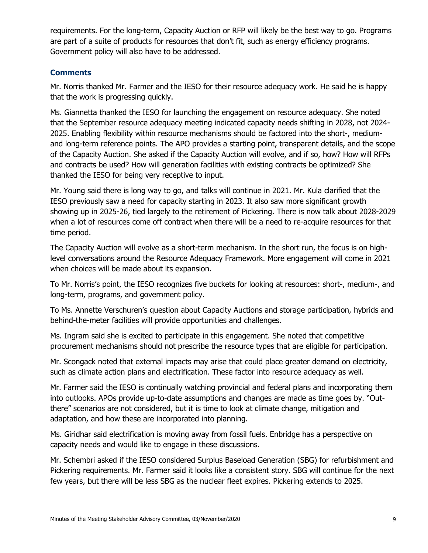requirements. For the long-term, Capacity Auction or RFP will likely be the best way to go. Programs are part of a suite of products for resources that don't fit, such as energy efficiency programs. Government policy will also have to be addressed.

#### **Comments**

Mr. Norris thanked Mr. Farmer and the IESO for their resource adequacy work. He said he is happy that the work is progressing quickly.

Ms. Giannetta thanked the IESO for launching the engagement on resource adequacy. She noted that the September resource adequacy meeting indicated capacity needs shifting in 2028, not 2024- 2025. Enabling flexibility within resource mechanisms should be factored into the short-, mediumand long-term reference points. The APO provides a starting point, transparent details, and the scope of the Capacity Auction. She asked if the Capacity Auction will evolve, and if so, how? How will RFPs and contracts be used? How will generation facilities with existing contracts be optimized? She thanked the IESO for being very receptive to input.

Mr. Young said there is long way to go, and talks will continue in 2021. Mr. Kula clarified that the IESO previously saw a need for capacity starting in 2023. It also saw more significant growth showing up in 2025-26, tied largely to the retirement of Pickering. There is now talk about 2028-2029 when a lot of resources come off contract when there will be a need to re-acquire resources for that time period.

The Capacity Auction will evolve as a short-term mechanism. In the short run, the focus is on highlevel conversations around the Resource Adequacy Framework. More engagement will come in 2021 when choices will be made about its expansion.

To Mr. Norris's point, the IESO recognizes five buckets for looking at resources: short-, medium-, and long-term, programs, and government policy.

To Ms. Annette Verschuren's question about Capacity Auctions and storage participation, hybrids and behind-the-meter facilities will provide opportunities and challenges.

Ms. Ingram said she is excited to participate in this engagement. She noted that competitive procurement mechanisms should not prescribe the resource types that are eligible for participation.

Mr. Scongack noted that external impacts may arise that could place greater demand on electricity, such as climate action plans and electrification. These factor into resource adequacy as well.

Mr. Farmer said the IESO is continually watching provincial and federal plans and incorporating them into outlooks. APOs provide up-to-date assumptions and changes are made as time goes by. "Outthere" scenarios are not considered, but it is time to look at climate change, mitigation and adaptation, and how these are incorporated into planning.

Ms. Giridhar said electrification is moving away from fossil fuels. Enbridge has a perspective on capacity needs and would like to engage in these discussions.

Mr. Schembri asked if the IESO considered Surplus Baseload Generation (SBG) for refurbishment and Pickering requirements. Mr. Farmer said it looks like a consistent story. SBG will continue for the next few years, but there will be less SBG as the nuclear fleet expires. Pickering extends to 2025.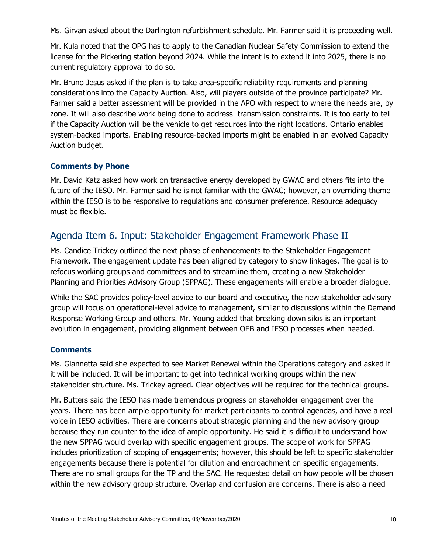Ms. Girvan asked about the Darlington refurbishment schedule. Mr. Farmer said it is proceeding well.

Mr. Kula noted that the OPG has to apply to the Canadian Nuclear Safety Commission to extend the license for the Pickering station beyond 2024. While the intent is to extend it into 2025, there is no current regulatory approval to do so.

Mr. Bruno Jesus asked if the plan is to take area-specific reliability requirements and planning considerations into the Capacity Auction. Also, will players outside of the province participate? Mr. Farmer said a better assessment will be provided in the APO with respect to where the needs are, by zone. It will also describe work being done to address transmission constraints. It is too early to tell if the Capacity Auction will be the vehicle to get resources into the right locations. Ontario enables system-backed imports. Enabling resource-backed imports might be enabled in an evolved Capacity Auction budget.

#### **Comments by Phone**

Mr. David Katz asked how work on transactive energy developed by GWAC and others fits into the future of the IESO. Mr. Farmer said he is not familiar with the GWAC; however, an overriding theme within the IESO is to be responsive to regulations and consumer preference. Resource adequacy must be flexible.

# Agenda Item 6. Input: Stakeholder Engagement Framework Phase II

Ms. Candice Trickey outlined the next phase of enhancements to the Stakeholder Engagement Framework. The engagement update has been aligned by category to show linkages. The goal is to refocus working groups and committees and to streamline them, creating a new Stakeholder Planning and Priorities Advisory Group (SPPAG). These engagements will enable a broader dialogue.

While the SAC provides policy-level advice to our board and executive, the new stakeholder advisory group will focus on operational-level advice to management, similar to discussions within the Demand Response Working Group and others. Mr. Young added that breaking down silos is an important evolution in engagement, providing alignment between OEB and IESO processes when needed.

#### **Comments**

Ms. Giannetta said she expected to see Market Renewal within the Operations category and asked if it will be included. It will be important to get into technical working groups within the new stakeholder structure. Ms. Trickey agreed. Clear objectives will be required for the technical groups.

Mr. Butters said the IESO has made tremendous progress on stakeholder engagement over the years. There has been ample opportunity for market participants to control agendas, and have a real voice in IESO activities. There are concerns about strategic planning and the new advisory group because they run counter to the idea of ample opportunity. He said it is difficult to understand how the new SPPAG would overlap with specific engagement groups. The scope of work for SPPAG includes prioritization of scoping of engagements; however, this should be left to specific stakeholder engagements because there is potential for dilution and encroachment on specific engagements. There are no small groups for the TP and the SAC. He requested detail on how people will be chosen within the new advisory group structure. Overlap and confusion are concerns. There is also a need